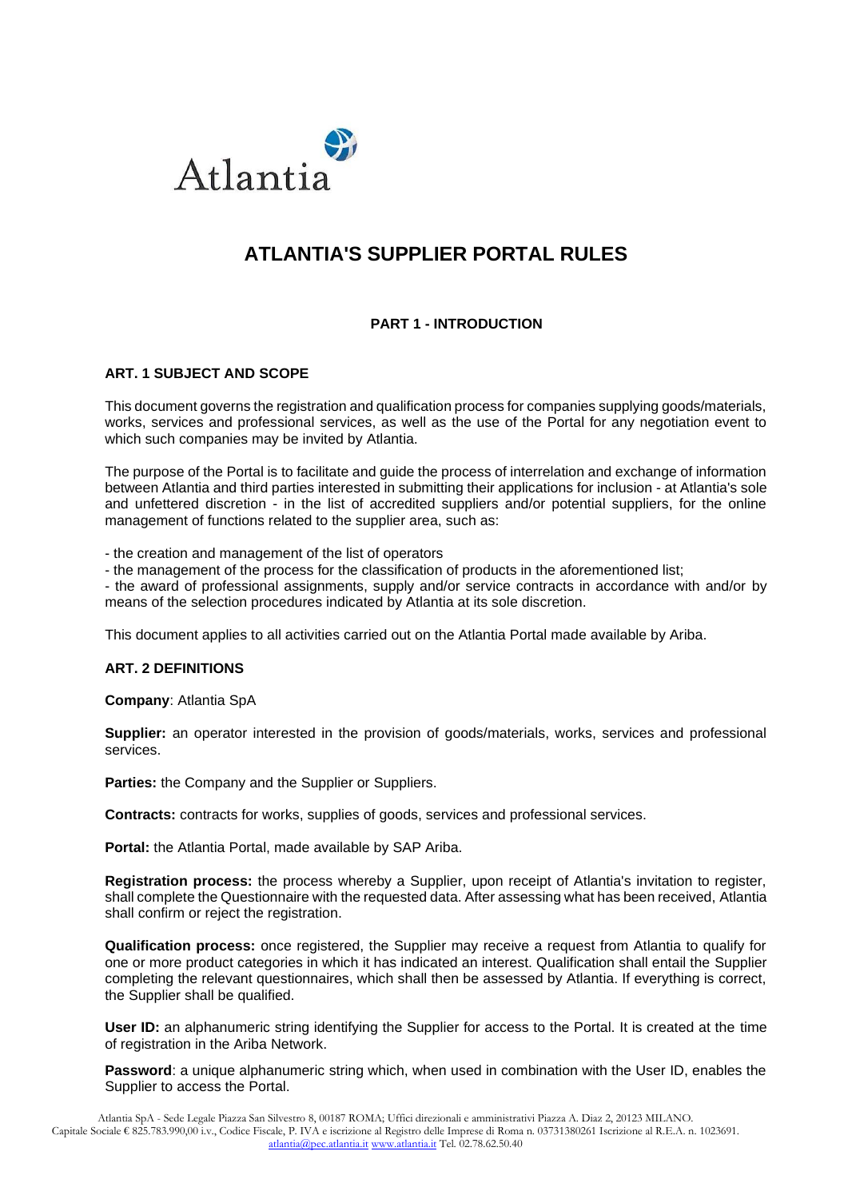

# **ATLANTIA'S SUPPLIER PORTAL RULES**

# **PART 1 - INTRODUCTION**

# **ART. 1 SUBJECT AND SCOPE**

This document governs the registration and qualification process for companies supplying goods/materials, works, services and professional services, as well as the use of the Portal for any negotiation event to which such companies may be invited by Atlantia.

The purpose of the Portal is to facilitate and guide the process of interrelation and exchange of information between Atlantia and third parties interested in submitting their applications for inclusion - at Atlantia's sole and unfettered discretion - in the list of accredited suppliers and/or potential suppliers, for the online management of functions related to the supplier area, such as:

- the creation and management of the list of operators

- the management of the process for the classification of products in the aforementioned list;

- the award of professional assignments, supply and/or service contracts in accordance with and/or by means of the selection procedures indicated by Atlantia at its sole discretion.

This document applies to all activities carried out on the Atlantia Portal made available by Ariba.

#### **ART. 2 DEFINITIONS**

**Company**: Atlantia SpA

**Supplier:** an operator interested in the provision of goods/materials, works, services and professional services.

Parties: the Company and the Supplier or Suppliers.

**Contracts:** contracts for works, supplies of goods, services and professional services.

**Portal:** the Atlantia Portal, made available by SAP Ariba.

**Registration process:** the process whereby a Supplier, upon receipt of Atlantia's invitation to register, shall complete the Questionnaire with the requested data. After assessing what has been received, Atlantia shall confirm or reject the registration.

**Qualification process:** once registered, the Supplier may receive a request from Atlantia to qualify for one or more product categories in which it has indicated an interest. Qualification shall entail the Supplier completing the relevant questionnaires, which shall then be assessed by Atlantia. If everything is correct, the Supplier shall be qualified.

**User ID:** an alphanumeric string identifying the Supplier for access to the Portal. It is created at the time of registration in the Ariba Network.

**Password**: a unique alphanumeric string which, when used in combination with the User ID, enables the Supplier to access the Portal.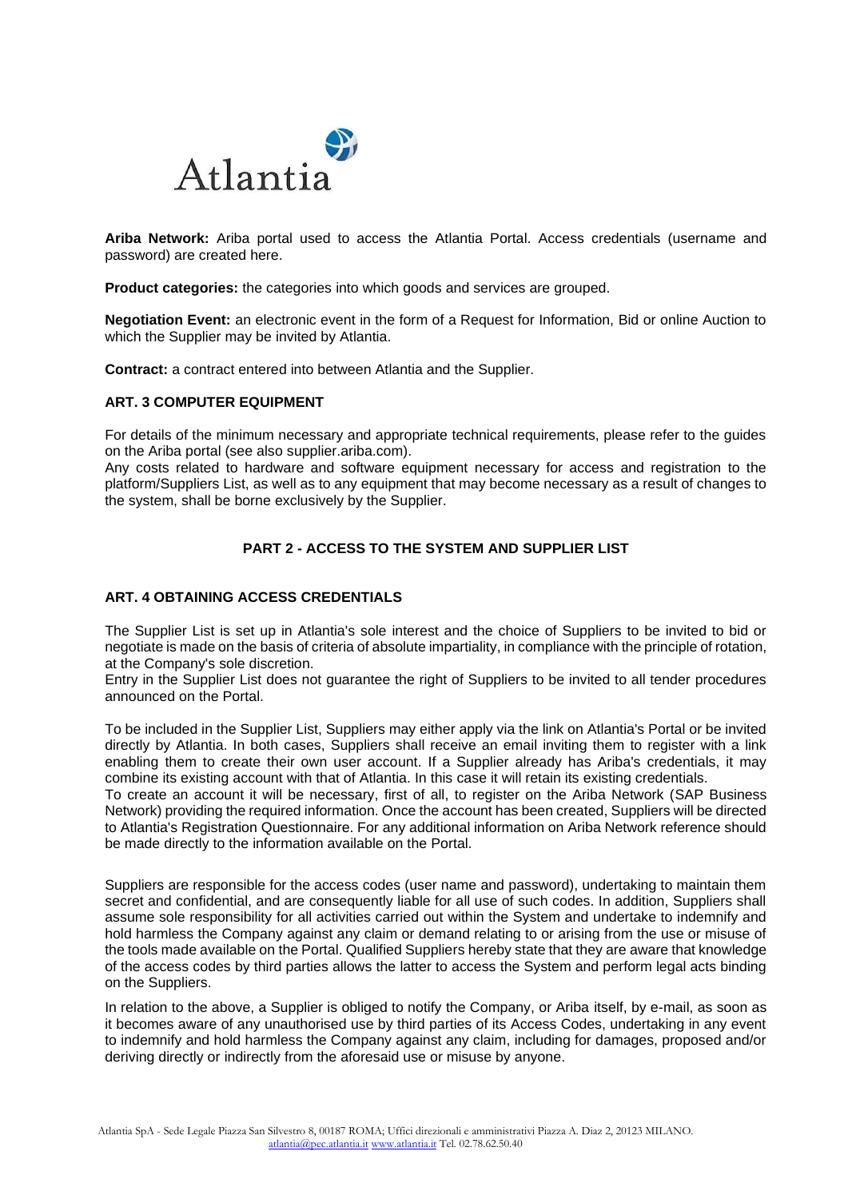

**Ariba Network:** Ariba portal used to access the Atlantia Portal. Access credentials (username and password) are created here.

**Product categories:** the categories into which goods and services are grouped.

**Negotiation Event:** an electronic event in the form of a Request for Information, Bid or online Auction to which the Supplier may be invited by Atlantia.

**Contract:** a contract entered into between Atlantia and the Supplier.

### **ART. 3 COMPUTER EQUIPMENT**

For details of the minimum necessary and appropriate technical requirements, please refer to the guides on the Ariba portal (see also supplier.ariba.com).

Any costs related to hardware and software equipment necessary for access and registration to the platform/Suppliers List, as well as to any equipment that may become necessary as a result of changes to the system, shall be borne exclusively by the Supplier.

# **PART 2 - ACCESS TO THE SYSTEM AND SUPPLIER LIST**

## **ART. 4 OBTAINING ACCESS CREDENTIALS**

The Supplier List is set up in Atlantia's sole interest and the choice of Suppliers to be invited to bid or negotiate is made on the basis of criteria of absolute impartiality, in compliance with the principle of rotation, at the Company's sole discretion.

Entry in the Supplier List does not guarantee the right of Suppliers to be invited to all tender procedures announced on the Portal.

To be included in the Supplier List, Suppliers may either apply via the link on Atlantia's Portal or be invited directly by Atlantia. In both cases, Suppliers shall receive an email inviting them to register with a link enabling them to create their own user account. If a Supplier already has Ariba's credentials, it may combine its existing account with that of Atlantia. In this case it will retain its existing credentials.

To create an account it will be necessary, first of all, to register on the Ariba Network (SAP Business Network) providing the required information. Once the account has been created, Suppliers will be directed to Atlantia's Registration Questionnaire. For any additional information on Ariba Network reference should be made directly to the information available on the Portal.

Suppliers are responsible for the access codes (user name and password), undertaking to maintain them secret and confidential, and are consequently liable for all use of such codes. In addition, Suppliers shall assume sole responsibility for all activities carried out within the System and undertake to indemnify and hold harmless the Company against any claim or demand relating to or arising from the use or misuse of the tools made available on the Portal. Qualified Suppliers hereby state that they are aware that knowledge of the access codes by third parties allows the latter to access the System and perform legal acts binding on the Suppliers.

In relation to the above, a Supplier is obliged to notify the Company, or Ariba itself, by e-mail, as soon as it becomes aware of any unauthorised use by third parties of its Access Codes, undertaking in any event to indemnify and hold harmless the Company against any claim, including for damages, proposed and/or deriving directly or indirectly from the aforesaid use or misuse by anyone.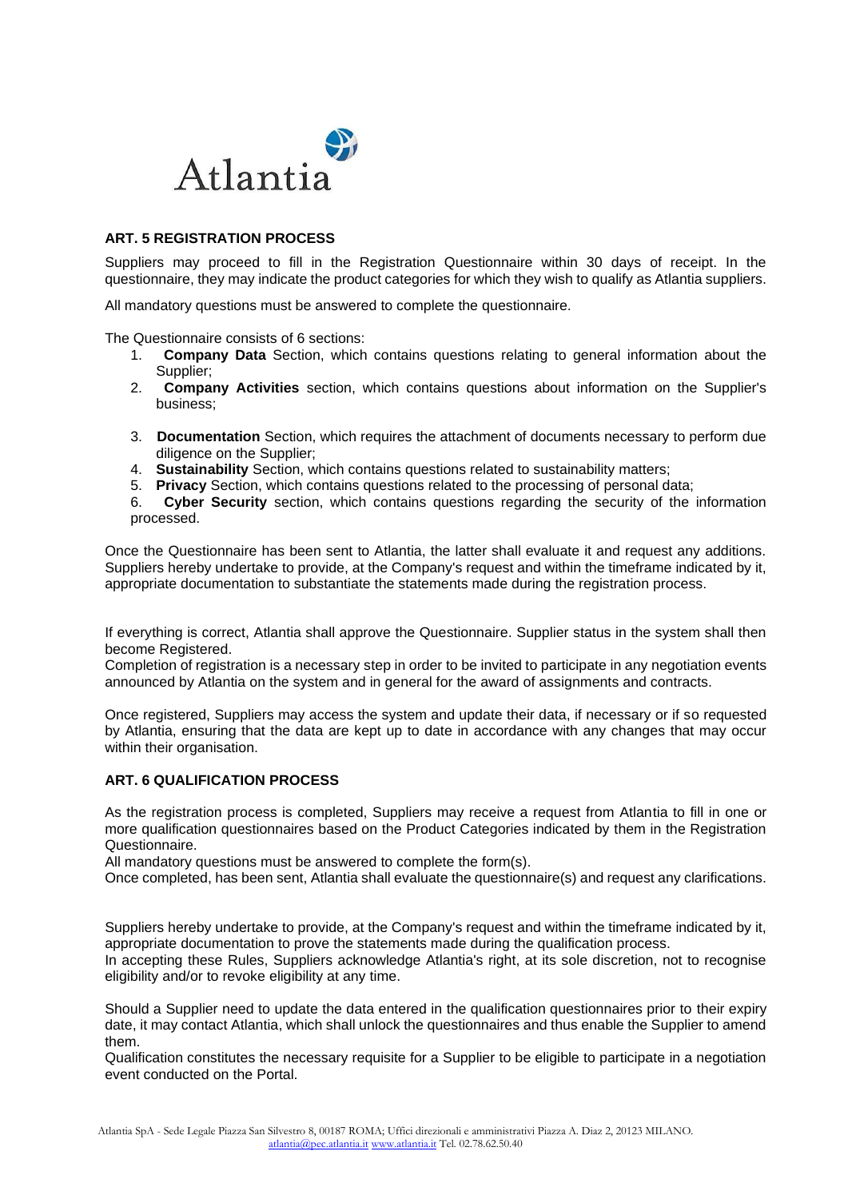

## **ART. 5 REGISTRATION PROCESS**

Suppliers may proceed to fill in the Registration Questionnaire within 30 days of receipt. In the questionnaire, they may indicate the product categories for which they wish to qualify as Atlantia suppliers.

All mandatory questions must be answered to complete the questionnaire.

The Questionnaire consists of 6 sections:

- 1. **Company Data** Section, which contains questions relating to general information about the Supplier;
- 2. **Company Activities** section, which contains questions about information on the Supplier's business;
- 3. **Documentation** Section, which requires the attachment of documents necessary to perform due diligence on the Supplier;
- 4. **Sustainability** Section, which contains questions related to sustainability matters;
- 5. **Privacy** Section, which contains questions related to the processing of personal data;
- 6. **Cyber Security** section, which contains questions regarding the security of the information processed.

Once the Questionnaire has been sent to Atlantia, the latter shall evaluate it and request any additions. Suppliers hereby undertake to provide, at the Company's request and within the timeframe indicated by it, appropriate documentation to substantiate the statements made during the registration process.

If everything is correct, Atlantia shall approve the Questionnaire. Supplier status in the system shall then become Registered.

Completion of registration is a necessary step in order to be invited to participate in any negotiation events announced by Atlantia on the system and in general for the award of assignments and contracts.

Once registered, Suppliers may access the system and update their data, if necessary or if so requested by Atlantia, ensuring that the data are kept up to date in accordance with any changes that may occur within their organisation.

#### **ART. 6 QUALIFICATION PROCESS**

As the registration process is completed, Suppliers may receive a request from Atlantia to fill in one or more qualification questionnaires based on the Product Categories indicated by them in the Registration Questionnaire.

All mandatory questions must be answered to complete the form(s).

Once completed, has been sent, Atlantia shall evaluate the questionnaire(s) and request any clarifications.

Suppliers hereby undertake to provide, at the Company's request and within the timeframe indicated by it, appropriate documentation to prove the statements made during the qualification process.

In accepting these Rules, Suppliers acknowledge Atlantia's right, at its sole discretion, not to recognise eligibility and/or to revoke eligibility at any time.

Should a Supplier need to update the data entered in the qualification questionnaires prior to their expiry date, it may contact Atlantia, which shall unlock the questionnaires and thus enable the Supplier to amend them.

Qualification constitutes the necessary requisite for a Supplier to be eligible to participate in a negotiation event conducted on the Portal.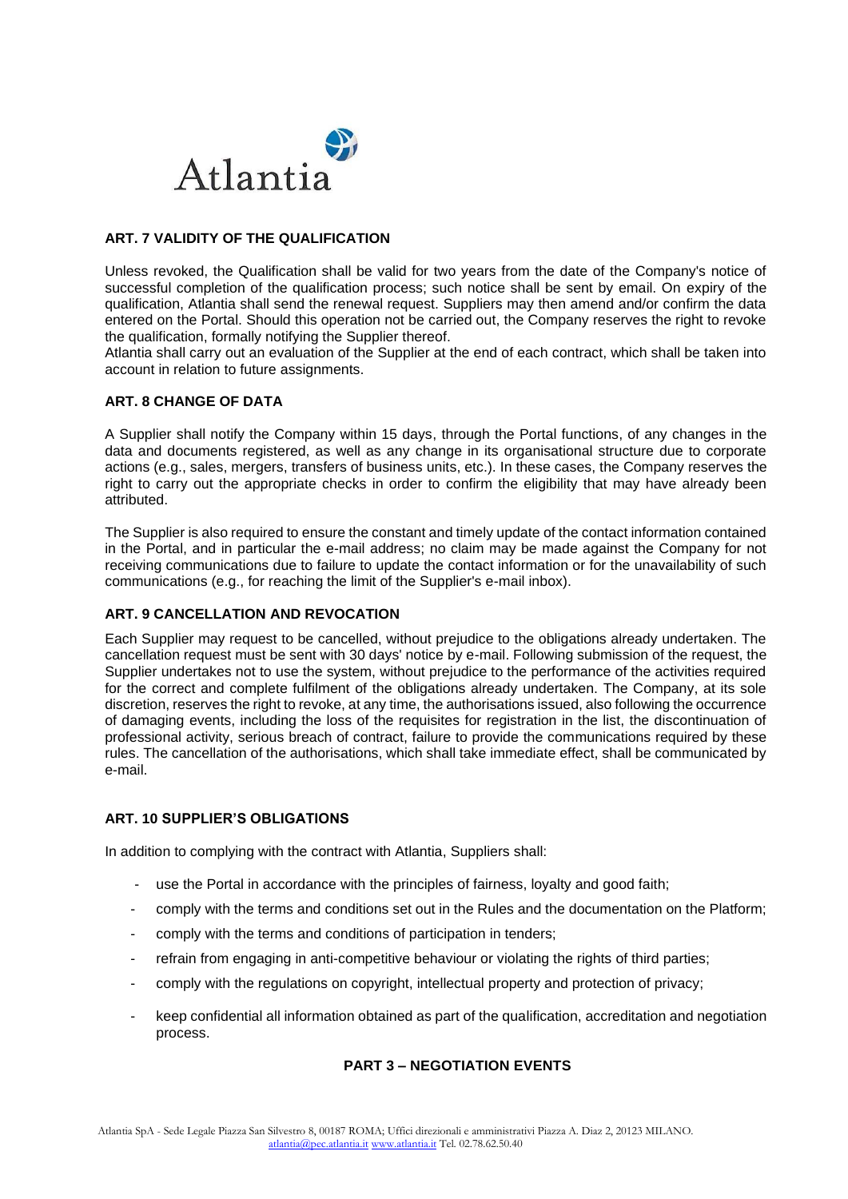

# **ART. 7 VALIDITY OF THE QUALIFICATION**

Unless revoked, the Qualification shall be valid for two years from the date of the Company's notice of successful completion of the qualification process; such notice shall be sent by email. On expiry of the qualification, Atlantia shall send the renewal request. Suppliers may then amend and/or confirm the data entered on the Portal. Should this operation not be carried out, the Company reserves the right to revoke the qualification, formally notifying the Supplier thereof.

Atlantia shall carry out an evaluation of the Supplier at the end of each contract, which shall be taken into account in relation to future assignments.

## **ART. 8 CHANGE OF DATA**

A Supplier shall notify the Company within 15 days, through the Portal functions, of any changes in the data and documents registered, as well as any change in its organisational structure due to corporate actions (e.g., sales, mergers, transfers of business units, etc.). In these cases, the Company reserves the right to carry out the appropriate checks in order to confirm the eligibility that may have already been attributed.

The Supplier is also required to ensure the constant and timely update of the contact information contained in the Portal, and in particular the e-mail address; no claim may be made against the Company for not receiving communications due to failure to update the contact information or for the unavailability of such communications (e.g., for reaching the limit of the Supplier's e-mail inbox).

# **ART. 9 CANCELLATION AND REVOCATION**

Each Supplier may request to be cancelled, without prejudice to the obligations already undertaken. The cancellation request must be sent with 30 days' notice by e-mail. Following submission of the request, the Supplier undertakes not to use the system, without prejudice to the performance of the activities required for the correct and complete fulfilment of the obligations already undertaken. The Company, at its sole discretion, reserves the right to revoke, at any time, the authorisations issued, also following the occurrence of damaging events, including the loss of the requisites for registration in the list, the discontinuation of professional activity, serious breach of contract, failure to provide the communications required by these rules. The cancellation of the authorisations, which shall take immediate effect, shall be communicated by e-mail.

# **ART. 10 SUPPLIER'S OBLIGATIONS**

In addition to complying with the contract with Atlantia, Suppliers shall:

- use the Portal in accordance with the principles of fairness, loyalty and good faith;
- comply with the terms and conditions set out in the Rules and the documentation on the Platform;
- comply with the terms and conditions of participation in tenders;
- refrain from engaging in anti-competitive behaviour or violating the rights of third parties;
- comply with the regulations on copyright, intellectual property and protection of privacy;
- keep confidential all information obtained as part of the qualification, accreditation and negotiation process.

# **PART 3 – NEGOTIATION EVENTS**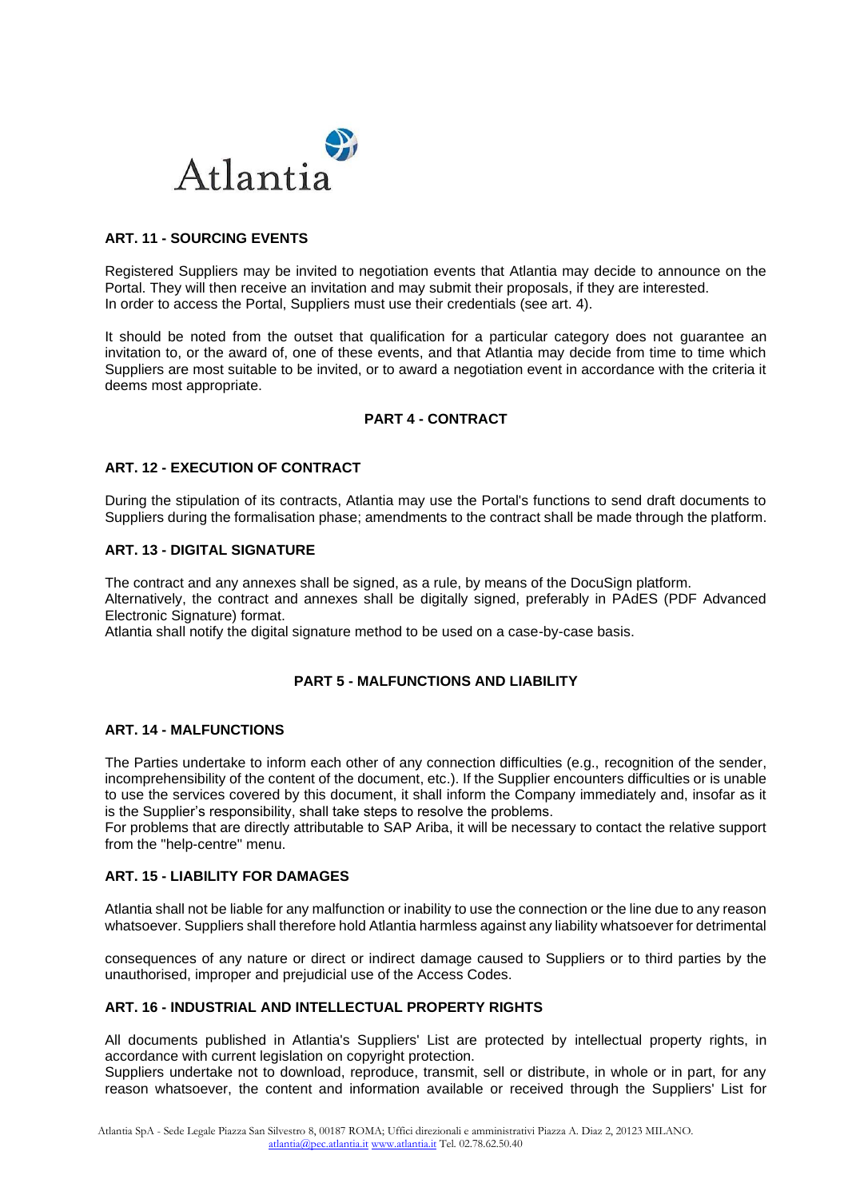

# **ART. 11 - SOURCING EVENTS**

Registered Suppliers may be invited to negotiation events that Atlantia may decide to announce on the Portal. They will then receive an invitation and may submit their proposals, if they are interested. In order to access the Portal, Suppliers must use their credentials (see art. 4).

It should be noted from the outset that qualification for a particular category does not guarantee an invitation to, or the award of, one of these events, and that Atlantia may decide from time to time which Suppliers are most suitable to be invited, or to award a negotiation event in accordance with the criteria it deems most appropriate.

# **PART 4 - CONTRACT**

# **ART. 12 - EXECUTION OF CONTRACT**

During the stipulation of its contracts, Atlantia may use the Portal's functions to send draft documents to Suppliers during the formalisation phase; amendments to the contract shall be made through the platform.

# **ART. 13 - DIGITAL SIGNATURE**

The contract and any annexes shall be signed, as a rule, by means of the DocuSign platform. Alternatively, the contract and annexes shall be digitally signed, preferably in PAdES (PDF Advanced Electronic Signature) format.

Atlantia shall notify the digital signature method to be used on a case-by-case basis.

# **PART 5 - MALFUNCTIONS AND LIABILITY**

## **ART. 14 - MALFUNCTIONS**

The Parties undertake to inform each other of any connection difficulties (e.g., recognition of the sender, incomprehensibility of the content of the document, etc.). If the Supplier encounters difficulties or is unable to use the services covered by this document, it shall inform the Company immediately and, insofar as it is the Supplier's responsibility, shall take steps to resolve the problems.

For problems that are directly attributable to SAP Ariba, it will be necessary to contact the relative support from the "help-centre" menu.

#### **ART. 15 - LIABILITY FOR DAMAGES**

Atlantia shall not be liable for any malfunction or inability to use the connection or the line due to any reason whatsoever. Suppliers shall therefore hold Atlantia harmless against any liability whatsoever for detrimental

consequences of any nature or direct or indirect damage caused to Suppliers or to third parties by the unauthorised, improper and prejudicial use of the Access Codes.

## **ART. 16 - INDUSTRIAL AND INTELLECTUAL PROPERTY RIGHTS**

All documents published in Atlantia's Suppliers' List are protected by intellectual property rights, in accordance with current legislation on copyright protection.

Suppliers undertake not to download, reproduce, transmit, sell or distribute, in whole or in part, for any reason whatsoever, the content and information available or received through the Suppliers' List for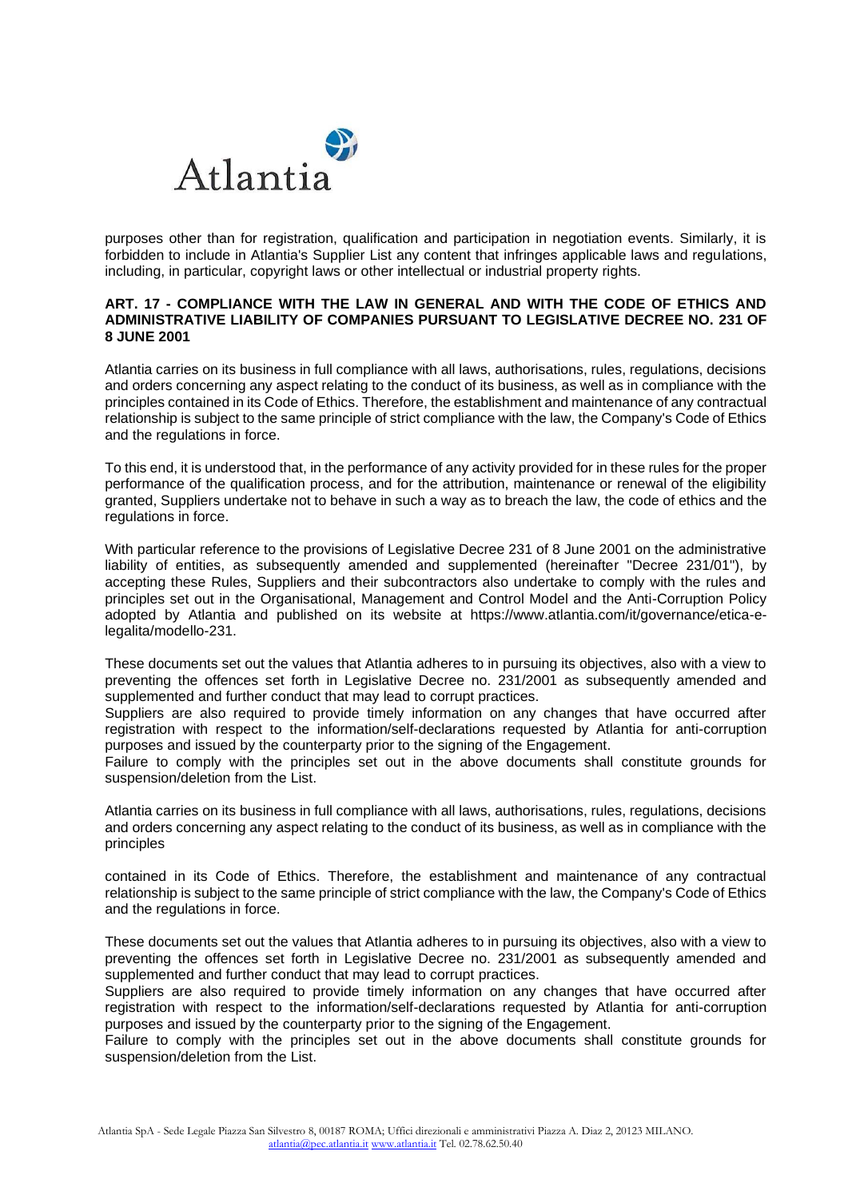

purposes other than for registration, qualification and participation in negotiation events. Similarly, it is forbidden to include in Atlantia's Supplier List any content that infringes applicable laws and regulations, including, in particular, copyright laws or other intellectual or industrial property rights.

## **ART. 17 - COMPLIANCE WITH THE LAW IN GENERAL AND WITH THE CODE OF ETHICS AND ADMINISTRATIVE LIABILITY OF COMPANIES PURSUANT TO LEGISLATIVE DECREE NO. 231 OF 8 JUNE 2001**

Atlantia carries on its business in full compliance with all laws, authorisations, rules, regulations, decisions and orders concerning any aspect relating to the conduct of its business, as well as in compliance with the principles contained in its Code of Ethics. Therefore, the establishment and maintenance of any contractual relationship is subject to the same principle of strict compliance with the law, the Company's Code of Ethics and the regulations in force.

To this end, it is understood that, in the performance of any activity provided for in these rules for the proper performance of the qualification process, and for the attribution, maintenance or renewal of the eligibility granted, Suppliers undertake not to behave in such a way as to breach the law, the code of ethics and the regulations in force.

With particular reference to the provisions of Legislative Decree 231 of 8 June 2001 on the administrative liability of entities, as subsequently amended and supplemented (hereinafter "Decree 231/01"), by accepting these Rules, Suppliers and their subcontractors also undertake to comply with the rules and principles set out in the Organisational, Management and Control Model and the Anti-Corruption Policy adopted by Atlantia and published on its website at https://www.atlantia.com/it/governance/etica-elegalita/modello-231.

These documents set out the values that Atlantia adheres to in pursuing its objectives, also with a view to preventing the offences set forth in Legislative Decree no. 231/2001 as subsequently amended and supplemented and further conduct that may lead to corrupt practices.

Suppliers are also required to provide timely information on any changes that have occurred after registration with respect to the information/self-declarations requested by Atlantia for anti-corruption purposes and issued by the counterparty prior to the signing of the Engagement.

Failure to comply with the principles set out in the above documents shall constitute grounds for suspension/deletion from the List.

Atlantia carries on its business in full compliance with all laws, authorisations, rules, regulations, decisions and orders concerning any aspect relating to the conduct of its business, as well as in compliance with the principles

contained in its Code of Ethics. Therefore, the establishment and maintenance of any contractual relationship is subject to the same principle of strict compliance with the law, the Company's Code of Ethics and the regulations in force.

These documents set out the values that Atlantia adheres to in pursuing its objectives, also with a view to preventing the offences set forth in Legislative Decree no. 231/2001 as subsequently amended and supplemented and further conduct that may lead to corrupt practices.

Suppliers are also required to provide timely information on any changes that have occurred after registration with respect to the information/self-declarations requested by Atlantia for anti-corruption purposes and issued by the counterparty prior to the signing of the Engagement.

Failure to comply with the principles set out in the above documents shall constitute grounds for suspension/deletion from the List.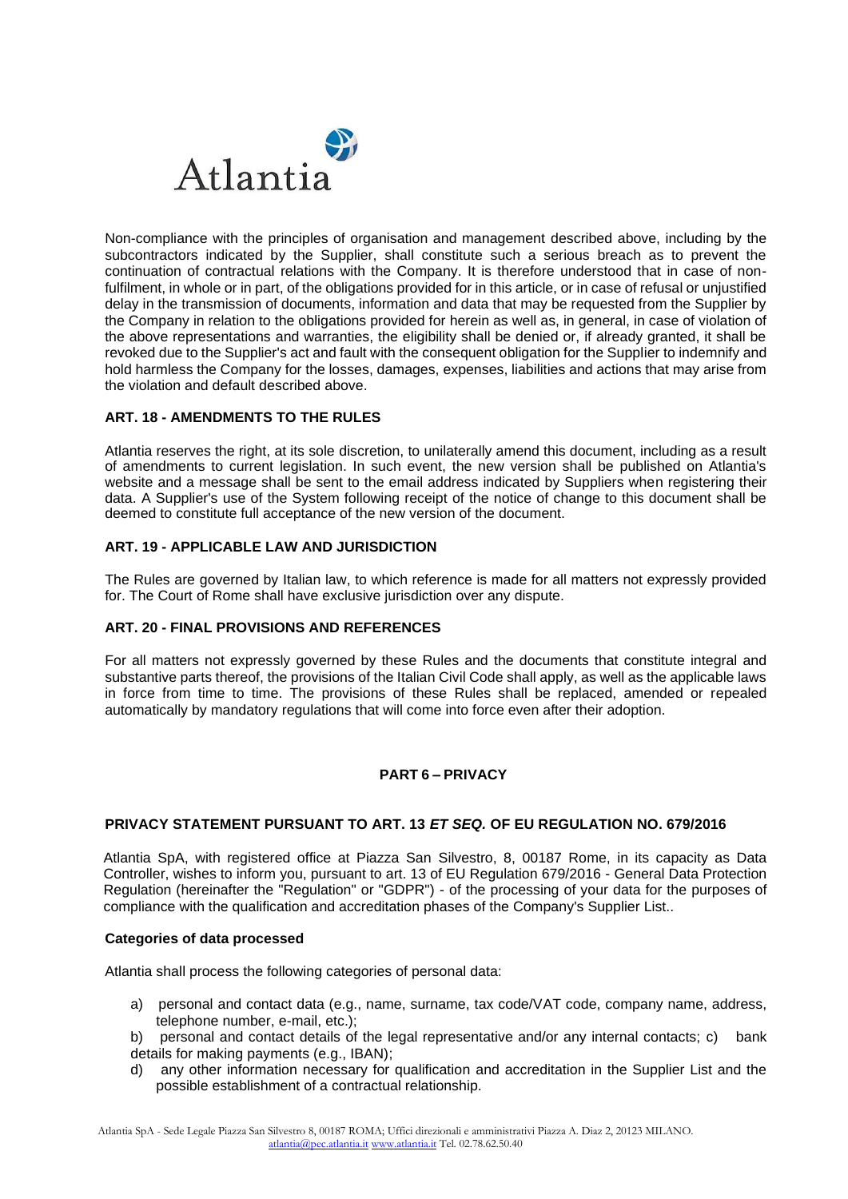

Non-compliance with the principles of organisation and management described above, including by the subcontractors indicated by the Supplier, shall constitute such a serious breach as to prevent the continuation of contractual relations with the Company. It is therefore understood that in case of nonfulfilment, in whole or in part, of the obligations provided for in this article, or in case of refusal or unjustified delay in the transmission of documents, information and data that may be requested from the Supplier by the Company in relation to the obligations provided for herein as well as, in general, in case of violation of the above representations and warranties, the eligibility shall be denied or, if already granted, it shall be revoked due to the Supplier's act and fault with the consequent obligation for the Supplier to indemnify and hold harmless the Company for the losses, damages, expenses, liabilities and actions that may arise from the violation and default described above.

# **ART. 18 - AMENDMENTS TO THE RULES**

Atlantia reserves the right, at its sole discretion, to unilaterally amend this document, including as a result of amendments to current legislation. In such event, the new version shall be published on Atlantia's website and a message shall be sent to the email address indicated by Suppliers when registering their data. A Supplier's use of the System following receipt of the notice of change to this document shall be deemed to constitute full acceptance of the new version of the document.

#### **ART. 19 - APPLICABLE LAW AND JURISDICTION**

The Rules are governed by Italian law, to which reference is made for all matters not expressly provided for. The Court of Rome shall have exclusive jurisdiction over any dispute.

# **ART. 20 - FINAL PROVISIONS AND REFERENCES**

For all matters not expressly governed by these Rules and the documents that constitute integral and substantive parts thereof, the provisions of the Italian Civil Code shall apply, as well as the applicable laws in force from time to time. The provisions of these Rules shall be replaced, amended or repealed automatically by mandatory regulations that will come into force even after their adoption.

# **PART 6 – PRIVACY**

## **PRIVACY STATEMENT PURSUANT TO ART. 13** *ET SEQ.* **OF EU REGULATION NO. 679/2016**

Atlantia SpA, with registered office at Piazza San Silvestro, 8, 00187 Rome, in its capacity as Data Controller, wishes to inform you, pursuant to art. 13 of EU Regulation 679/2016 - General Data Protection Regulation (hereinafter the "Regulation" or "GDPR") - of the processing of your data for the purposes of compliance with the qualification and accreditation phases of the Company's Supplier List..

#### **Categories of data processed**

Atlantia shall process the following categories of personal data:

- a) personal and contact data (e.g., name, surname, tax code/VAT code, company name, address, telephone number, e-mail, etc.);
- b) personal and contact details of the legal representative and/or any internal contacts; c) bank details for making payments (e.g., IBAN);
- d) any other information necessary for qualification and accreditation in the Supplier List and the possible establishment of a contractual relationship.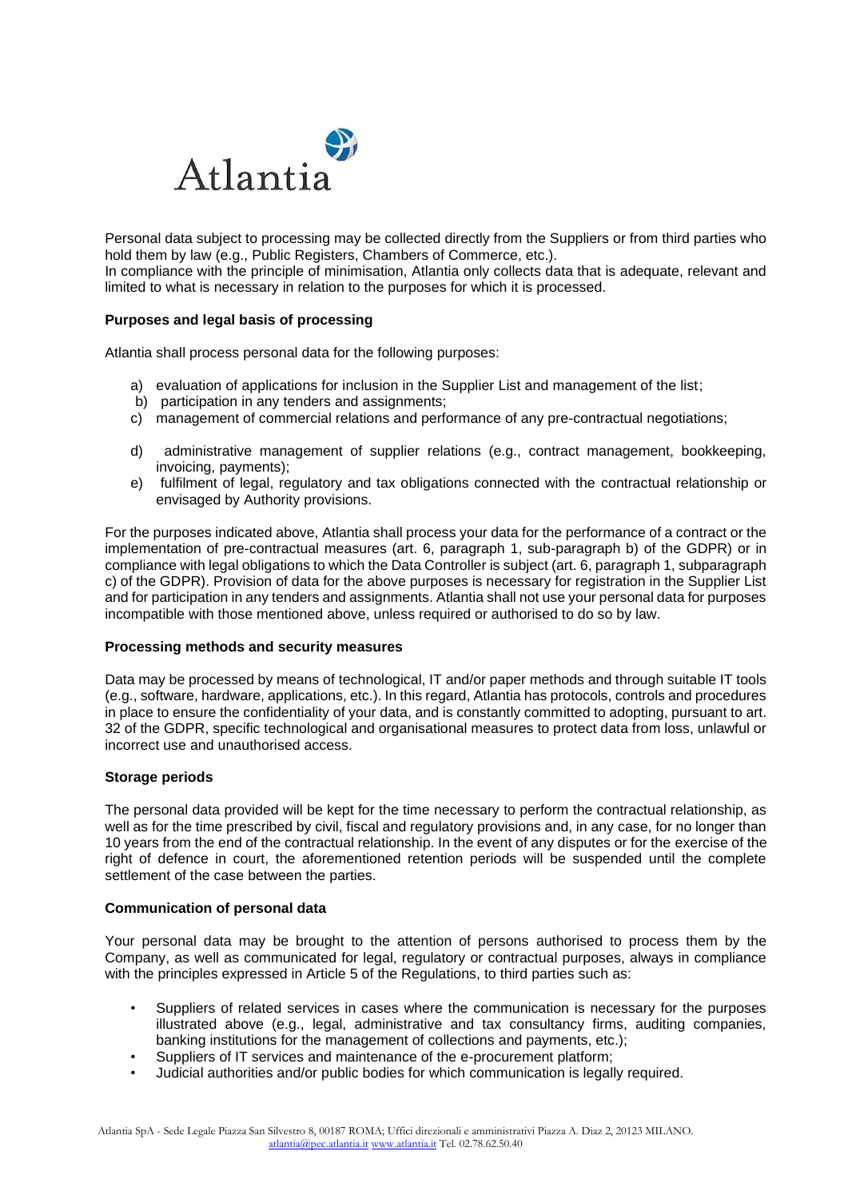

Personal data subject to processing may be collected directly from the Suppliers or from third parties who hold them by law (e.g., Public Registers, Chambers of Commerce, etc.).

In compliance with the principle of minimisation, Atlantia only collects data that is adequate, relevant and limited to what is necessary in relation to the purposes for which it is processed.

#### **Purposes and legal basis of processing**

Atlantia shall process personal data for the following purposes:

- a) evaluation of applications for inclusion in the Supplier List and management of the list;
- b) participation in any tenders and assignments;
- c) management of commercial relations and performance of any pre-contractual negotiations;
- d) administrative management of supplier relations (e.g., contract management, bookkeeping, invoicing, payments);
- e) fulfilment of legal, regulatory and tax obligations connected with the contractual relationship or envisaged by Authority provisions.

For the purposes indicated above, Atlantia shall process your data for the performance of a contract or the implementation of pre-contractual measures (art. 6, paragraph 1, sub-paragraph b) of the GDPR) or in compliance with legal obligations to which the Data Controller is subject (art. 6, paragraph 1, subparagraph c) of the GDPR). Provision of data for the above purposes is necessary for registration in the Supplier List and for participation in any tenders and assignments. Atlantia shall not use your personal data for purposes incompatible with those mentioned above, unless required or authorised to do so by law.

#### **Processing methods and security measures**

Data may be processed by means of technological, IT and/or paper methods and through suitable IT tools (e.g., software, hardware, applications, etc.). In this regard, Atlantia has protocols, controls and procedures in place to ensure the confidentiality of your data, and is constantly committed to adopting, pursuant to art. 32 of the GDPR, specific technological and organisational measures to protect data from loss, unlawful or incorrect use and unauthorised access.

#### **Storage periods**

The personal data provided will be kept for the time necessary to perform the contractual relationship, as well as for the time prescribed by civil, fiscal and regulatory provisions and, in any case, for no longer than 10 years from the end of the contractual relationship. In the event of any disputes or for the exercise of the right of defence in court, the aforementioned retention periods will be suspended until the complete settlement of the case between the parties.

#### **Communication of personal data**

Your personal data may be brought to the attention of persons authorised to process them by the Company, as well as communicated for legal, regulatory or contractual purposes, always in compliance with the principles expressed in Article 5 of the Regulations, to third parties such as:

- Suppliers of related services in cases where the communication is necessary for the purposes illustrated above (e.g., legal, administrative and tax consultancy firms, auditing companies, banking institutions for the management of collections and payments, etc.);
- Suppliers of IT services and maintenance of the e-procurement platform;
- Judicial authorities and/or public bodies for which communication is legally required.